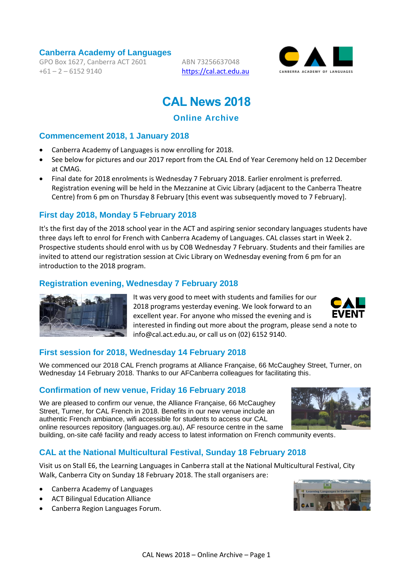**Canberra Academy of Languages**

GPO Box 1627, Canberra ACT 2601  $+61 - 2 - 61529140$ 

ABN 73256637048 [https://cal.act.edu.au](https://cal.act.edu.au/)



# **CAL News 2018**

# **Online Archive**

# **Commencement 2018, 1 January 2018**

- [Canberra Academy of Languages is now enrolling for 2018.](https://cal.act.edu.au/index.htm#enrolment)
- See below for pictures and our 2017 report from the CAL End of Year Ceremony held on 12 December at CMAG.
- Final date for 2018 enrolments is Wednesday 7 February 2018. Earlier enrolment is preferred. Registration evening will be held in the Mezzanine at Civic Library (adjacent to the Canberra Theatre Centre) from 6 pm on Thursday 8 February [this event was subsequently moved to 7 February].

# **First day 2018, Monday 5 February 2018**

It's the first day of the 2018 school year in the ACT and aspiring senior secondary languages students have three days left to enrol for French with Canberra Academy of Languages. CAL classes start in Week 2. Prospective students should enrol with us by COB Wednesday 7 February. Students and their families are invited to attend our registration session at Civic Library on Wednesday evening from 6 pm for an introduction to the 2018 program.

# **Registration evening, Wednesday 7 February 2018**



It was very good to meet with students and families for our 2018 programs yesterday evening. We look forward to an excellent year. For anyone who missed the evening and is interested in finding out more about the program, please send a note to info@cal.act.edu.au, or call us on (02) 6152 9140.

# **First session for 2018, Wednesday 14 February 2018**

We commenced our 2018 CAL French programs at Alliance Française, 66 McCaughey Street, Turner, on Wednesday 14 February 2018. Thanks to our AFCanberra colleagues for facilitating this.

# **Confirmation of new venue, Friday 16 February 2018**

We are pleased to confirm our venue, the Alliance Française, 66 McCaughey Street, Turner, for CAL French in 2018. Benefits in our new venue include an authentic French ambiance, wifi accessible for students to access our CAL online resources repository (languages.org.au), AF resource centre in the same building, on-site café facility and ready access to latest information on French community events.



**CAL at the National Multicultural Festival, Sunday 18 February 2018**

Visit us on Stall E6, the Learning Languages in Canberra stall at the National Multicultural Festival, City Walk, Canberra City on Sunday 18 February 2018. The stall organisers are:

- Canberra Academy of Languages
- ACT Bilingual Education Alliance
- Canberra Region Languages Forum.

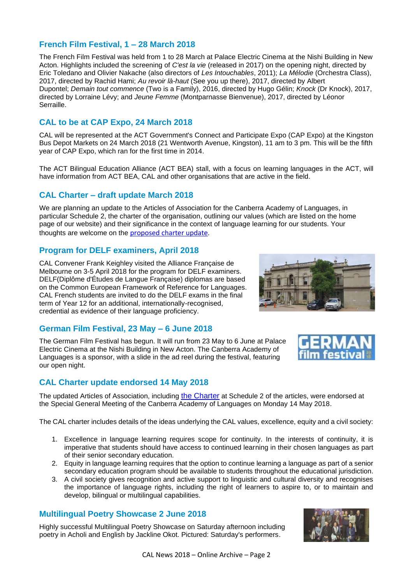# **French Film Festival, 1 – 28 March 2018**

The French Film Festival was held from 1 to 28 March at Palace Electric Cinema at the Nishi Building in New Acton. Highlights included the screening of *C'est la vie* (released in 2017) on the opening night, directed by Eric Toledano and Olivier Nakache (also directors of *Les Intouchables*, 2011); *La Mélodie* (Orchestra Class), 2017, directed by Rachid Hami; *Au revoir là-haut* (See you up there), 2017, directed by Albert Dupontel; *Demain tout commence* (Two is a Family), 2016, directed by Hugo Gélin; *Knock* (Dr Knock), 2017, directed by Lorraine Lévy; and *Jeune Femme* (Montparnasse Bienvenue), 2017, directed by Léonor Serraille.

# **CAL to be at CAP Expo, 24 March 2018**

CAL will be represented at the ACT Government's Connect and Participate Expo (CAP Expo) at the Kingston Bus Depot Markets on 24 March 2018 (21 Wentworth Avenue, Kingston), 11 am to 3 pm. This will be the fifth year of CAP Expo, which ran for the first time in 2014.

The ACT Bilingual Education Alliance (ACT BEA) stall, with a focus on learning languages in the ACT, will have information from ACT BEA, CAL and other organisations that are active in the field.

#### **CAL Charter – draft update March 2018**

We are planning an update to the Articles of Association for the Canberra Academy of Languages, in particular Schedule 2, the charter of the organisation, outlining our values (which are listed on the home page of our website) and their significance in the context of language learning for our students. Your thoughts are welcome on the [proposed charter update](https://cal.act.edu.au/docs/CAL_Charter_draft_update_2018-03-06_ntc.pdf).

#### **Program for DELF examiners, April 2018**

CAL Convener Frank Keighley visited the Alliance Française de Melbourne on 3-5 April 2018 for the program for DELF examiners. DELF(Diplôme d'Études de Langue Française) diplomas are based on the Common European Framework of Reference for Languages. CAL French students are invited to do the DELF exams in the final term of Year 12 for an additional, internationally-recognised, credential as evidence of their language proficiency.



#### **German Film Festival, 23 May – 6 June 2018**

The German Film Festival has begun. It will run from 23 May to 6 June at Palace Electric Cinema at the Nishi Building in New Acton. The Canberra Academy of Languages is a sponsor, with a slide in the ad reel during the festival, featuring our open night.

# **CAL Charter update endorsed 14 May 2018**

The updated Articles of Association, including [the Charter](https://cal.act.edu.au/docs/CAL_Charter.pdf) at Schedule 2 of the articles, were endorsed at the Special General Meeting of the Canberra Academy of Languages on Monday 14 May 2018.

The CAL charter includes details of the ideas underlying the CAL values, excellence, equity and a civil society:

- 1. Excellence in language learning requires scope for continuity. In the interests of continuity, it is imperative that students should have access to continued learning in their chosen languages as part of their senior secondary education.
- 2. Equity in language learning requires that the option to continue learning a language as part of a senior secondary education program should be available to students throughout the educational jurisdiction.
- 3. A civil society gives recognition and active support to linguistic and cultural diversity and recognises the importance of language rights, including the right of learners to aspire to, or to maintain and develop, bilingual or multilingual capabilities.

# **Multilingual Poetry Showcase 2 June 2018**

Highly successful Multilingual Poetry Showcase on Saturday afternoon including poetry in Acholi and English by Jackline Okot. Pictured: Saturday's performers.

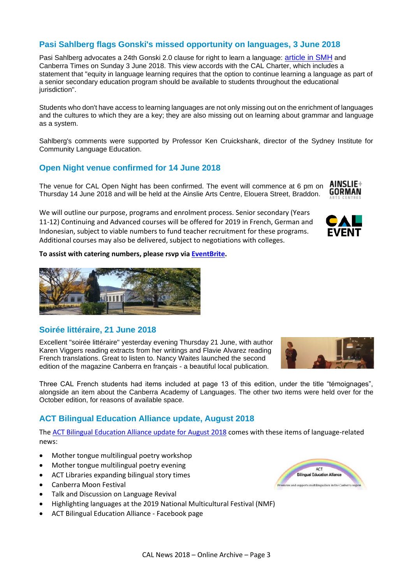# **Pasi Sahlberg flags Gonski's missed opportunity on languages, 3 June 2018**

Pasi Sahlberg advocates a 24th Gonski 2.0 clause for right to learn a language: [article in SMH](https://www.smh.com.au/education/gonski-s-missed-opportunity-on-languages-20180601-p4zix3.html) and Canberra Times on Sunday 3 June 2018. This view accords with the CAL Charter, which includes a statement that "equity in language learning requires that the option to continue learning a language as part of a senior secondary education program should be available to students throughout the educational jurisdiction".

Students who don't have access to learning languages are not only missing out on the enrichment of languages and the cultures to which they are a key; they are also missing out on learning about grammar and language as a system.

Sahlberg's comments were supported by Professor Ken Cruickshank, director of the Sydney Institute for Community Language Education.

#### **Open Night venue confirmed for 14 June 2018**

AINSLIE+ The venue for CAL Open Night has been confirmed. The event will commence at 6 pm on GORMAN Thursday 14 June 2018 and will be held at the Ainslie Arts Centre, Elouera Street, Braddon.

We will outline our purpose, programs and enrolment process. Senior secondary (Years 11-12) Continuing and Advanced courses will be offered for 2019 in French, German and Indonesian, subject to viable numbers to fund teacher recruitment for these programs. Additional courses may also be delivered, subject to negotiations with colleges.

**To assist with catering numbers, please rsvp via [EventBrite.](https://www.eventbrite.com.au/e/canberra-academy-of-languages-open-night-2018-tickets-46391543355)**



# **Soirée littéraire, 21 June 2018**

Excellent "soirée littéraire" yesterday evening Thursday 21 June, with author Karen Viggers reading extracts from her writings and Flavie Alvarez reading French translations. Great to listen to. Nancy Waites launched the second edition of the magazine Canberra en français - a beautiful local publication.

Three CAL French students had items included at page 13 of this edition, under the title "témoignages", alongside an item about the Canberra Academy of Languages. The other two items were held over for the October edition, for reasons of available space.

# **ACT Bilingual Education Alliance update, August 2018**

The [ACT Bilingual Education Alliance update for August 2018](https://cal.act.edu.au/docs/actbea_update_august_2018.pdf) comes with these items of language-related news:

- Mother tongue multilingual poetry workshop
- Mother tongue multilingual poetry evening
- ACT Libraries expanding bilingual story times
- Canberra Moon Festival
- Talk and Discussion on Language Revival
- Highlighting languages at the 2019 National Multicultural Festival (NMF)
- ACT Bilingual Education Alliance Facebook page





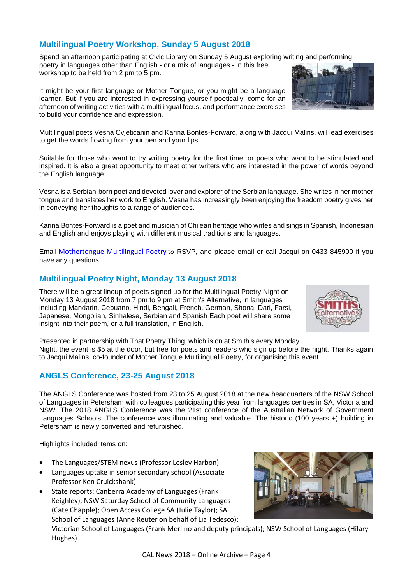# **Multilingual Poetry Workshop, Sunday 5 August 2018**

Spend an afternoon participating at Civic Library on Sunday 5 August exploring writing and performing poetry in languages other than English - or a mix of languages - in this free workshop to be held from 2 pm to 5 pm.

It might be your first language or Mother Tongue, or you might be a language learner. But if you are interested in expressing yourself poetically, come for an afternoon of writing activities with a multilingual focus, and performance exercises to build your confidence and expression.

Multilingual poets Vesna Cvjeticanin and Karina Bontes-Forward, along with Jacqui Malins, will lead exercises to get the words flowing from your pen and your lips.

Suitable for those who want to try writing poetry for the first time, or poets who want to be stimulated and inspired. It is also a great opportunity to meet other writers who are interested in the power of words beyond the English language.

Vesna is a Serbian-born poet and devoted lover and explorer of the Serbian language. She writes in her mother tongue and translates her work to English. Vesna has increasingly been enjoying the freedom poetry gives her in conveying her thoughts to a range of audiences.

Karina Bontes-Forward is a poet and musician of Chilean heritage who writes and sings in Spanish, Indonesian and English and enjoys playing with different musical traditions and languages.

Email [Mothertongue Multilingual Poetry](mailto:mothertonguemic@gmail.com) to RSVP, and please email or call Jacqui on 0433 845900 if you have any questions.

#### **Multilingual Poetry Night, Monday 13 August 2018**

There will be a great lineup of poets signed up for the Multilingual Poetry Night on Monday 13 August 2018 from 7 pm to 9 pm at Smith's Alternative, in languages including Mandarin, Cebuano, Hindi, Bengali, French, German, Shona, Dari, Farsi, Japanese, Mongolian, Sinhalese, Serbian and Spanish Each poet will share some insight into their poem, or a full translation, in English.

Presented in partnership with That Poetry Thing, which is on at Smith's every Monday Night, the event is \$5 at the door, but free for poets and readers who sign up before the night. Thanks again to Jacqui Malins, co-founder of Mother Tongue Multilingual Poetry, for organising this event.

# **ANGLS Conference, 23-25 August 2018**

The ANGLS Conference was hosted from 23 to 25 August 2018 at the new headquarters of the NSW School of Languages in Petersham with colleagues participating this year from languages centres in SA, Victoria and NSW. The 2018 ANGLS Conference was the 21st conference of the Australian Network of Government Languages Schools. The conference was illuminating and valuable. The historic (100 years +) building in Petersham is newly converted and refurbished.

Highlights included items on:

- The Languages/STEM nexus (Professor Lesley Harbon)
- Languages uptake in senior secondary school (Associate Professor Ken Cruickshank)
- State reports: Canberra Academy of Languages (Frank Keighley); NSW Saturday School of Community Languages (Cate Chapple); Open Access College SA (Julie Taylor); SA School of Languages (Anne Reuter on behalf of Lia Tedesco);

Victorian School of Languages (Frank Merlino and deputy principals); NSW School of Languages (Hilary Hughes)





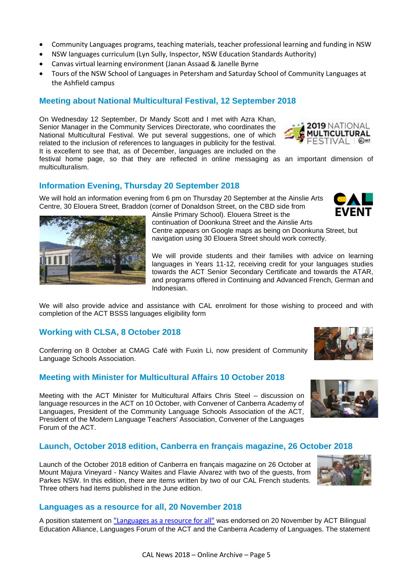- Community Languages programs, teaching materials, teacher professional learning and funding in NSW
- NSW languages curriculum (Lyn Sully, Inspector, NSW Education Standards Authority)
- Canvas virtual learning environment (Janan Assaad & Janelle Byrne
- Tours of the NSW School of Languages in Petersham and Saturday School of Community Languages at the Ashfield campus

# **Meeting about National Multicultural Festival, 12 September 2018**

On Wednesday 12 September, Dr Mandy Scott and I met with Azra Khan, Senior Manager in the Community Services Directorate, who coordinates the National Multicultural Festival. We put several suggestions, one of which related to the inclusion of references to languages in publicity for the festival. It is excellent to see that, as of December, languages are included on the



festival home page, so that they are reflected in online messaging as an important dimension of multiculturalism.

#### **Information Evening, Thursday 20 September 2018**

We will hold an information evening from 6 pm on Thursday 20 September at the Ainslie Arts Centre, 30 Elouera Street, Braddon (corner of Donaldson Street, on the CBD side from Ainslie Primary School). Elouera Street is the





continuation of Doonkuna Street and the Ainslie Arts Centre appears on Google maps as being on Doonkuna Street, but navigation using 30 Elouera Street should work correctly.

We will provide students and their families with advice on learning languages in Years 11-12, receiving credit for your languages studies towards the ACT Senior Secondary Certificate and towards the ATAR, and programs offered in Continuing and Advanced French, German and Indonesian.

We will also provide advice and assistance with CAL enrolment for those wishing to proceed and with completion of the ACT BSSS languages eligibility form

#### **Working with CLSA, 8 October 2018**

Conferring on 8 October at CMAG Café with Fuxin Li, now president of Community Language Schools Association.

#### **Meeting with Minister for Multicultural Affairs 10 October 2018**

Meeting with the ACT Minister for Multicultural Affairs Chris Steel – discussion on language resources in the ACT on 10 October, with Convener of Canberra Academy of Languages, President of the Community Language Schools Association of the ACT, President of the Modern Language Teachers' Association, Convener of the Languages Forum of the ACT.

#### **Launch, October 2018 edition, Canberra en français magazine, 26 October 2018**

Launch of the October 2018 edition of Canberra en français magazine on 26 October at Mount Majura Vineyard - Nancy Waites and Flavie Alvarez with two of the guests, from Parkes NSW. In this edition, there are items written by two of our CAL French students. Three others had items published in the June edition.



#### **Languages as a resource for all, 20 November 2018**

A position statement on ["Languages as a resource for all"](https://cal.act.edu.au/docs/Languages_as_a_resource_for_all_20181120.pdf) was endorsed on 20 November by ACT Bilingual Education Alliance, Languages Forum of the ACT and the Canberra Academy of Languages. The statement



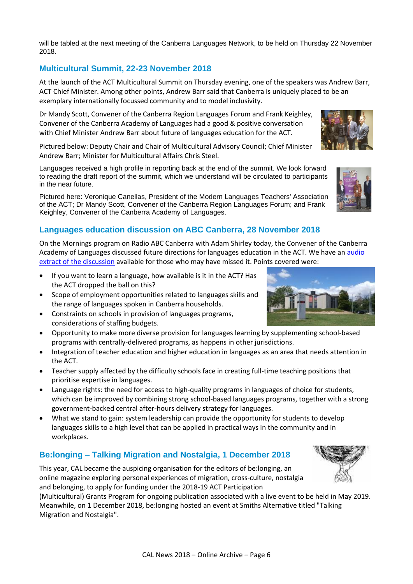will be tabled at the next meeting of the Canberra Languages Network, to be held on Thursday 22 November 2018.

# **Multicultural Summit, 22-23 November 2018**

At the launch of the ACT Multicultural Summit on Thursday evening, one of the speakers was Andrew Barr, ACT Chief Minister. Among other points, Andrew Barr said that Canberra is uniquely placed to be an exemplary internationally focussed community and to model inclusivity.

Dr Mandy Scott, Convener of the Canberra Region Languages Forum and Frank Keighley, Convener of the Canberra Academy of Languages had a good & positive conversation with Chief Minister Andrew Barr about future of languages education for the ACT.

Pictured below: Deputy Chair and Chair of Multicultural Advisory Council; Chief Minister Andrew Barr; Minister for Multicultural Affairs Chris Steel.

Languages received a high profile in reporting back at the end of the summit. We look forward to reading the draft report of the summit, which we understand will be circulated to participants in the near future.

Pictured here: Veronique Canellas, President of the Modern Languages Teachers' Association of the ACT; Dr Mandy Scott, Convener of the Canberra Region Languages Forum; and Frank Keighley, Convener of the Canberra Academy of Languages.

# **Languages education discussion on ABC Canberra, 28 November 2018**

On the Mornings program on Radio ABC Canberra with Adam Shirley today, the Convener of the Canberra Academy of Languages discussed future directions for languages education in the ACT. We have an [audio](https://cal.act.edu.au/docs/Languages_Education_2018-11-28_at_64kbps.mp3)  [extract of the discussion](https://cal.act.edu.au/docs/Languages_Education_2018-11-28_at_64kbps.mp3) available for those who may have missed it. Points covered were:

- If you want to learn a language, how available is it in the ACT? Has the ACT dropped the ball on this?
- Scope of employment opportunities related to languages skills and the range of languages spoken in Canberra households.
- Constraints on schools in provision of languages programs, considerations of staffing budgets.
- Opportunity to make more diverse provision for languages learning by supplementing school-based programs with centrally-delivered programs, as happens in other jurisdictions.
- Integration of teacher education and higher education in languages as an area that needs attention in the ACT.
- Teacher supply affected by the difficulty schools face in creating full-time teaching positions that prioritise expertise in languages.
- Language rights: the need for access to high-quality programs in languages of choice for students, which can be improved by combining strong school-based languages programs, together with a strong government-backed central after-hours delivery strategy for languages.
- What we stand to gain: system leadership can provide the opportunity for students to develop languages skills to a high level that can be applied in practical ways in the community and in workplaces.

# **Be:longing – Talking Migration and Nostalgia, 1 December 2018**

This year, CAL became the auspicing organisation for the editors of be:longing, an online magazine exploring personal experiences of migration, cross-culture, nostalgia and belonging, to apply for funding under the 2018-19 ACT Participation

(Multicultural) Grants Program for ongoing publication associated with a live event to be held in May 2019. Meanwhile, on 1 December 2018, be:longing hosted an event at Smiths Alternative titled "Talking Migration and Nostalgia".





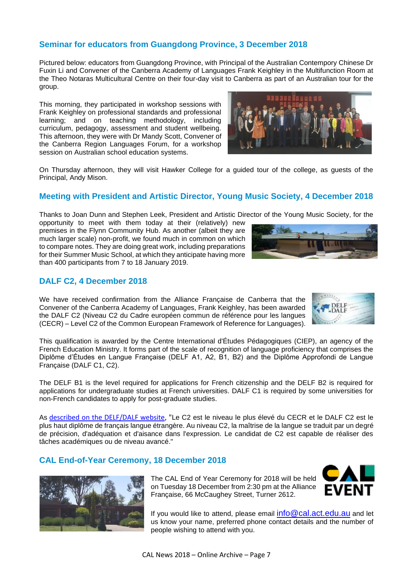# **Seminar for educators from Guangdong Province, 3 December 2018**

Pictured below: educators from Guangdong Province, with Principal of the Australian Contempory Chinese Dr Fuxin Li and Convener of the Canberra Academy of Languages Frank Keighley in the Multifunction Room at the Theo Notaras Multicultural Centre on their four-day visit to Canberra as part of an Australian tour for the group.

This morning, they participated in workshop sessions with Frank Keighley on professional standards and professional learning; and on teaching methodology, including curriculum, pedagogy, assessment and student wellbeing. This afternoon, they were with Dr Mandy Scott, Convener of the Canberra Region Languages Forum, for a workshop session on Australian school education systems.



On Thursday afternoon, they will visit Hawker College for a guided tour of the college, as guests of the Principal, Andy Mison.

#### **Meeting with President and Artistic Director, Young Music Society, 4 December 2018**

Thanks to Joan Dunn and Stephen Leek, President and Artistic Director of the Young Music Society, for the

opportunity to meet with them today at their (relatively) new premises in the Flynn Community Hub. As another (albeit they are much larger scale) non-profit, we found much in common on which to compare notes. They are doing great work, including preparations for their Summer Music School, at which they anticipate having more than 400 participants from 7 to 18 January 2019.

#### **DALF C2, 4 December 2018**

We have received confirmation from the Alliance Française de Canberra that the Convener of the Canberra Academy of Languages, Frank Keighley, has been awarded the DALF C2 (Niveau C2 du Cadre européen commun de référence pour les langues (CECR) – Level C2 of the Common European Framework of Reference for Languages).

This qualification is awarded by the Centre International d'Études Pédagogiques (CIEP), an agency of the French Education Ministry. It forms part of the scale of recognition of language proficiency that comprises the Diplôme d'Études en Langue Française (DELF A1, A2, B1, B2) and the Diplôme Approfondi de Langue Française (DALF C1, C2).

The DELF B1 is the level required for applications for French citizenship and the DELF B2 is required for applications for undergraduate studies at French universities. DALF C1 is required by some universities for non-French candidates to apply for post-graduate studies.

As [described on the DELF/DALF website,](http://www.delfdalf.fr/dalf-c2.html) "Le C2 est le niveau le plus élevé du CECR et le DALF C2 est le plus haut diplôme de français langue étrangère. Au niveau C2, la maîtrise de la langue se traduit par un degré de précision, d'adéquation et d'aisance dans l'expression. Le candidat de C2 est capable de réaliser des tâches académiques ou de niveau avancé."

#### **CAL End-of-Year Ceremony, 18 December 2018**



The CAL End of Year Ceremony for 2018 will be held on Tuesday 18 December from 2:30 pm at the Alliance Française, 66 McCaughey Street, Turner 2612.

If you would like to attend, please email [info@cal.act.edu.au](mailto:info@cal.act.edu.au) and let us know your name, preferred phone contact details and the number of people wishing to attend with you.